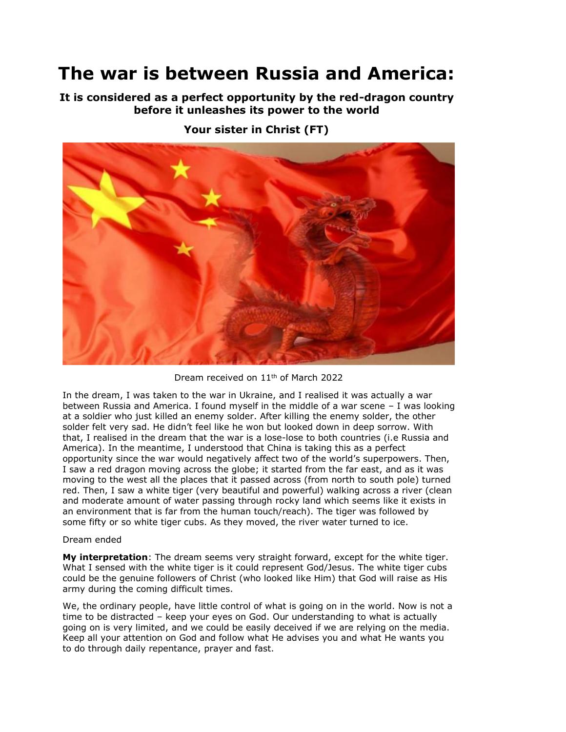## **The war is between Russia and America:**

**It is considered as a perfect opportunity by the red-dragon country before it unleashes its power to the world**



**Your sister in Christ (FT)**

Dream received on 11th of March 2022

In the dream, I was taken to the war in Ukraine, and I realised it was actually a war between Russia and America. I found myself in the middle of a war scene – I was looking at a soldier who just killed an enemy solder. After killing the enemy solder, the other solder felt very sad. He didn't feel like he won but looked down in deep sorrow. With that, I realised in the dream that the war is a lose-lose to both countries (i.e Russia and America). In the meantime, I understood that China is taking this as a perfect opportunity since the war would negatively affect two of the world's superpowers. Then, I saw a red dragon moving across the globe; it started from the far east, and as it was moving to the west all the places that it passed across (from north to south pole) turned red. Then, I saw a white tiger (very beautiful and powerful) walking across a river (clean and moderate amount of water passing through rocky land which seems like it exists in an environment that is far from the human touch/reach). The tiger was followed by some fifty or so white tiger cubs. As they moved, the river water turned to ice.

## Dream ended

**My interpretation**: The dream seems very straight forward, except for the white tiger. What I sensed with the white tiger is it could represent God/Jesus. The white tiger cubs could be the genuine followers of Christ (who looked like Him) that God will raise as His army during the coming difficult times.

We, the ordinary people, have little control of what is going on in the world. Now is not a time to be distracted – keep your eyes on God. Our understanding to what is actually going on is very limited, and we could be easily deceived if we are relying on the media. Keep all your attention on God and follow what He advises you and what He wants you to do through daily repentance, prayer and fast.